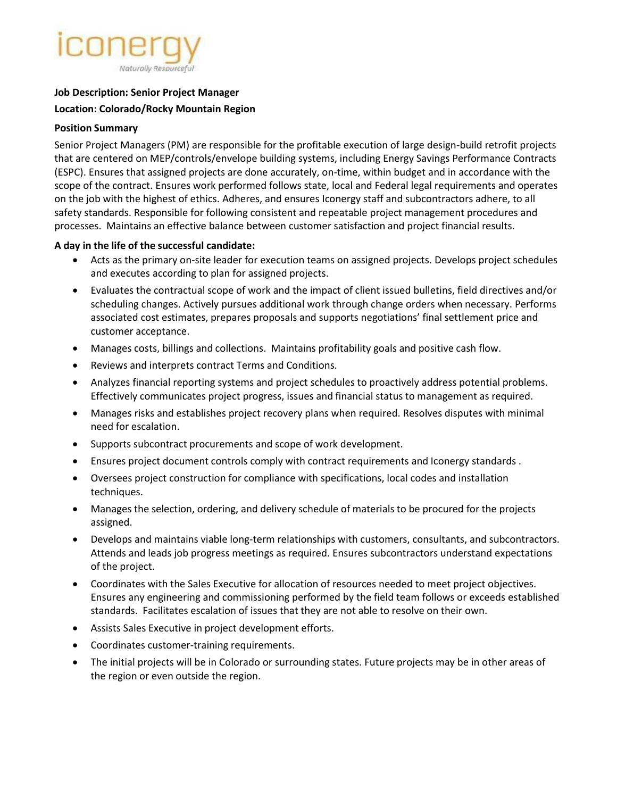# Naturally Resourceful

### **Job Description: Senior Project Manager**

### **Location: Colorado/Rocky Mountain Region**

#### **Position Summary**

Senior Project Managers (PM) are responsible for the profitable execution of large design-build retrofit projects that are centered on MEP/controls/envelope building systems, including Energy Savings Performance Contracts (ESPC). Ensures that assigned projects are done accurately, on-time, within budget and in accordance with the scope of the contract. Ensures work performed follows state, local and Federal legal requirements and operates on the job with the highest of ethics. Adheres, and ensures Iconergy staff and subcontractors adhere, to all safety standards. Responsible for following consistent and repeatable project management procedures and processes. Maintains an effective balance between customer satisfaction and project financial results.

# **A day in the life of the successful candidate:**

- Acts as the primary on-site leader for execution teams on assigned projects. Develops project schedules and executes according to plan for assigned projects.
- Evaluates the contractual scope of work and the impact of client issued bulletins, field directives and/or scheduling changes. Actively pursues additional work through change orders when necessary. Performs associated cost estimates, prepares proposals and supports negotiations' final settlement price and customer acceptance.
- Manages costs, billings and collections. Maintains profitability goals and positive cash flow.
- Reviews and interprets contract Terms and Conditions.
- Analyzes financial reporting systems and project schedules to proactively address potential problems. Effectively communicates project progress, issues and financial status to management as required.
- Manages risks and establishes project recovery plans when required. Resolves disputes with minimal need for escalation.
- Supports subcontract procurements and scope of work development.
- Ensures project document controls comply with contract requirements and Iconergy standards .
- Oversees project construction for compliance with specifications, local codes and installation techniques.
- Manages the selection, ordering, and delivery schedule of materials to be procured for the projects assigned.
- Develops and maintains viable long-term relationships with customers, consultants, and subcontractors. Attends and leads job progress meetings as required. Ensures subcontractors understand expectations of the project.
- Coordinates with the Sales Executive for allocation of resources needed to meet project objectives. Ensures any engineering and commissioning performed by the field team follows or exceeds established standards. Facilitates escalation of issues that they are not able to resolve on their own.
- Assists Sales Executive in project development efforts.
- Coordinates customer-training requirements.
- The initial projects will be in Colorado or surrounding states. Future projects may be in other areas of the region or even outside the region.